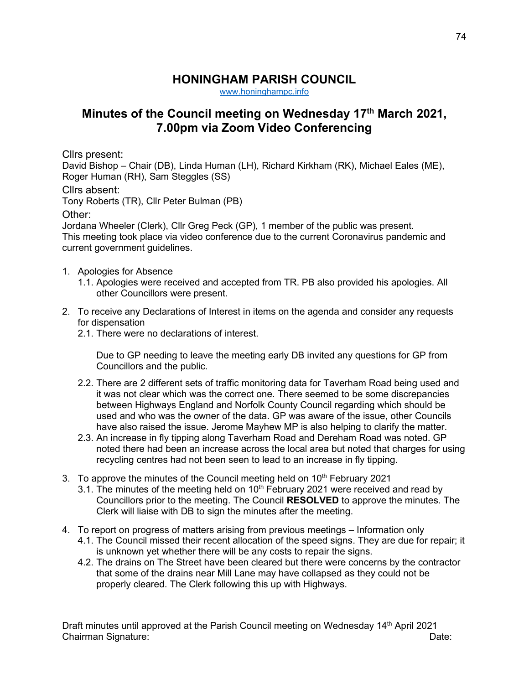## **HONINGHAM PARISH COUNCIL**

[www.honinghampc.info](http://www.honinghampc.info/)

## **Minutes of the Council meeting on Wednesday 17 th March 2021, 7.00pm via Zoom Video Conferencing**

Cllrs present:

David Bishop – Chair (DB), Linda Human (LH), Richard Kirkham (RK), Michael Eales (ME), Roger Human (RH), Sam Steggles (SS)

Cllrs absent:

Tony Roberts (TR), Cllr Peter Bulman (PB)

Other:

Jordana Wheeler (Clerk), Cllr Greg Peck (GP), 1 member of the public was present. This meeting took place via video conference due to the current Coronavirus pandemic and current government guidelines.

- 1. Apologies for Absence
	- 1.1. Apologies were received and accepted from TR. PB also provided his apologies. All other Councillors were present.
- 2. To receive any Declarations of Interest in items on the agenda and consider any requests for dispensation
	- 2.1. There were no declarations of interest.

Due to GP needing to leave the meeting early DB invited any questions for GP from Councillors and the public.

- 2.2. There are 2 different sets of traffic monitoring data for Taverham Road being used and it was not clear which was the correct one. There seemed to be some discrepancies between Highways England and Norfolk County Council regarding which should be used and who was the owner of the data. GP was aware of the issue, other Councils have also raised the issue. Jerome Mayhew MP is also helping to clarify the matter.
- 2.3. An increase in fly tipping along Taverham Road and Dereham Road was noted. GP noted there had been an increase across the local area but noted that charges for using recycling centres had not been seen to lead to an increase in fly tipping.
- 3. To approve the minutes of the Council meeting held on  $10<sup>th</sup>$  February 2021
	- 3.1. The minutes of the meeting held on  $10<sup>th</sup>$  February 2021 were received and read by Councillors prior to the meeting. The Council **RESOLVED** to approve the minutes. The Clerk will liaise with DB to sign the minutes after the meeting.
- 4. To report on progress of matters arising from previous meetings Information only
	- 4.1. The Council missed their recent allocation of the speed signs. They are due for repair; it is unknown yet whether there will be any costs to repair the signs.
	- 4.2. The drains on The Street have been cleared but there were concerns by the contractor that some of the drains near Mill Lane may have collapsed as they could not be properly cleared. The Clerk following this up with Highways.

Draft minutes until approved at the Parish Council meeting on Wednesday 14<sup>th</sup> April 2021 Chairman Signature: Date: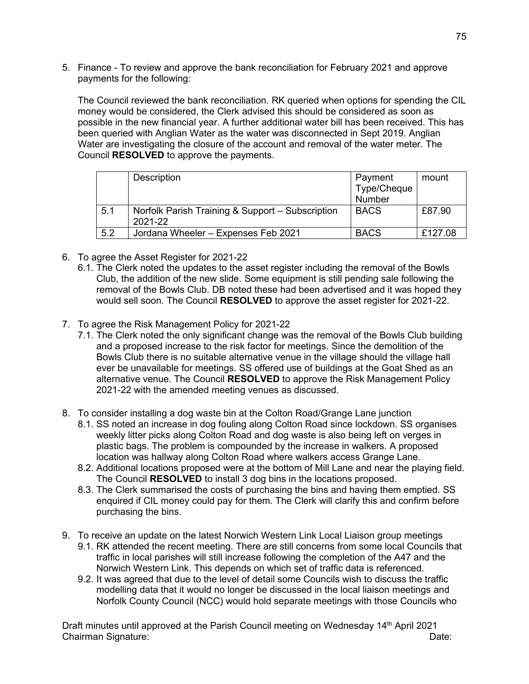5. Finance - To review and approve the bank reconciliation for February 2021 and approve payments for the following:

The Council reviewed the bank reconciliation. RK queried when options for spending the CIL money would be considered, the Clerk advised this should be considered as soon as possible in the new financial year. A further additional water bill has been received. This has been queried with Anglian Water as the water was disconnected in Sept 2019. Anglian Water are investigating the closure of the account and removal of the water meter. The Council **RESOLVED** to approve the payments.

|     | Description                                                 | Payment<br>Type/Cheque<br>Number | mount   |
|-----|-------------------------------------------------------------|----------------------------------|---------|
| 5.1 | Norfolk Parish Training & Support - Subscription<br>2021-22 | <b>BACS</b>                      | £87.90  |
| 5.2 | Jordana Wheeler - Expenses Feb 2021                         | <b>BACS</b>                      | £127.08 |

- 6. To agree the Asset Register for 2021-22
	- 6.1. The Clerk noted the updates to the asset register including the removal of the Bowls Club, the addition of the new slide. Some equipment is still pending sale following the removal of the Bowls Club. DB noted these had been advertised and it was hoped they would sell soon. The Council **RESOLVED** to approve the asset register for 2021-22.
- 7. To agree the Risk Management Policy for 2021-22
	- 7.1. The Clerk noted the only significant change was the removal of the Bowls Club building and a proposed increase to the risk factor for meetings. Since the demolition of the Bowls Club there is no suitable alternative venue in the village should the village hall ever be unavailable for meetings. SS offered use of buildings at the Goat Shed as an alternative venue. The Council **RESOLVED** to approve the Risk Management Policy 2021-22 with the amended meeting venues as discussed.
- 8. To consider installing a dog waste bin at the Colton Road/Grange Lane junction
	- 8.1. SS noted an increase in dog fouling along Colton Road since lockdown. SS organises weekly litter picks along Colton Road and dog waste is also being left on verges in plastic bags. The problem is compounded by the increase in walkers. A proposed location was hallway along Colton Road where walkers access Grange Lane.
	- 8.2. Additional locations proposed were at the bottom of Mill Lane and near the playing field. The Council **RESOLVED** to install 3 dog bins in the locations proposed.
	- 8.3. The Clerk summarised the costs of purchasing the bins and having them emptied. SS enquired if CIL money could pay for them. The Clerk will clarify this and confirm before purchasing the bins.
- 9. To receive an update on the latest Norwich Western Link Local Liaison group meetings
	- 9.1. RK attended the recent meeting. There are still concerns from some local Councils that traffic in local parishes will still increase following the completion of the A47 and the Norwich Western Link. This depends on which set of traffic data is referenced.
	- 9.2. It was agreed that due to the level of detail some Councils wish to discuss the traffic modelling data that it would no longer be discussed in the local liaison meetings and Norfolk County Council (NCC) would hold separate meetings with those Councils who

Draft minutes until approved at the Parish Council meeting on Wednesday 14<sup>th</sup> April 2021 Chairman Signature: Date: